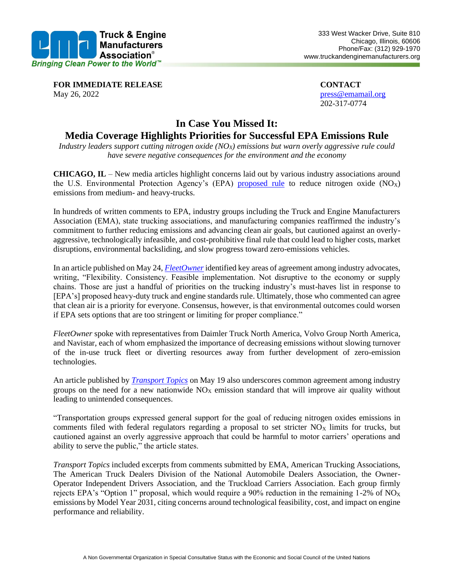

**FOR IMMEDIATE RELEASE CONTACT** May 26, 2022 **press**@emamail.org

202-317-0774

## **In Case You Missed It:**

## **Media Coverage Highlights Priorities for Successful EPA Emissions Rule**

*Industry leaders support cutting nitrogen oxide (NOX) emissions but warn overly aggressive rule could have severe negative consequences for the environment and the economy* 

**CHICAGO, IL** – New media articles highlight concerns laid out by various industry associations around the U.S. Environmental Protection Agency's (EPA) [proposed rule](https://static1.squarespace.com/static/624ddf53a2360b6600755b47/t/62714b42a3e0c9756dcd28f1/1651592002926/2022+05+03+EPA+NOx+NPRM+One-Page+Summary.pdf) to reduce nitrogen oxide  $(NO<sub>X</sub>)$ emissions from medium- and heavy-trucks.

In hundreds of written comments to EPA, industry groups including the Truck and Engine Manufacturers Association (EMA), state trucking associations, and manufacturing companies reaffirmed the industry's commitment to further reducing emissions and advancing clean air goals, but cautioned against an overlyaggressive, technologically infeasible, and cost-prohibitive final rule that could lead to higher costs, market disruptions, environmental backsliding, and slow progress toward zero-emissions vehicles.

In an article published on May 24, *[FleetOwner](https://www.fleetowner.com/emissions-efficiency/article/21242512/trucking-industry-reacts-to-epas-truck-engine-emissions-proposal)* identified key areas of agreement among industry advocates, writing, "Flexibility. Consistency. Feasible implementation. Not disruptive to the economy or supply chains. Those are just a handful of priorities on the trucking industry's must-haves list in response to [EPA's] proposed heavy-duty truck and engine standards rule. Ultimately, those who commented can agree that clean air is a priority for everyone. Consensus, however, is that environmental outcomes could worsen if EPA sets options that are too stringent or limiting for proper compliance."

*FleetOwner* spoke with representatives from Daimler Truck North America, Volvo Group North America, and Navistar, each of whom emphasized the importance of decreasing emissions without slowing turnover of the in-use truck fleet or diverting resources away from further development of zero-emission technologies.

An article published by *[Transport Topics](https://www.ttnews.com/articles/groups-urge-cautious-approach-epa-nox-proposal)* on May 19 also underscores common agreement among industry groups on the need for a new nationwide  $NO<sub>X</sub>$  emission standard that will improve air quality without leading to unintended consequences.

"Transportation groups expressed general support for the goal of reducing nitrogen oxides emissions in comments filed with federal regulators regarding a proposal to set stricter  $NO<sub>X</sub>$  limits for trucks, but cautioned against an overly aggressive approach that could be harmful to motor carriers' operations and ability to serve the public," the article states.

*Transport Topics* included excerpts from comments submitted by EMA, American Trucking Associations, The American Truck Dealers Division of the National Automobile Dealers Association, the Owner-Operator Independent Drivers Association, and the Truckload Carriers Association. Each group firmly rejects EPA's "Option 1" proposal, which would require a 90% reduction in the remaining 1-2% of NO<sub>x</sub> emissions by Model Year 2031, citing concerns around technological feasibility, cost, and impact on engine performance and reliability.